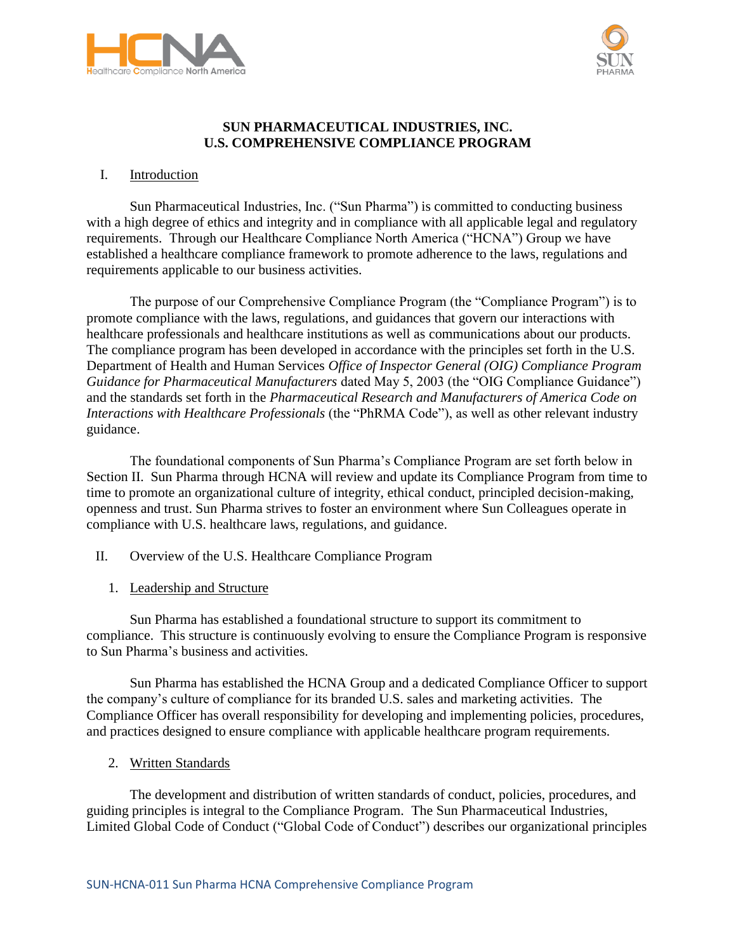



## **SUN PHARMACEUTICAL INDUSTRIES, INC. U.S. COMPREHENSIVE COMPLIANCE PROGRAM**

### I. Introduction

Sun Pharmaceutical Industries, Inc. ("Sun Pharma") is committed to conducting business with a high degree of ethics and integrity and in compliance with all applicable legal and regulatory requirements. Through our Healthcare Compliance North America ("HCNA") Group we have established a healthcare compliance framework to promote adherence to the laws, regulations and requirements applicable to our business activities.

The purpose of our Comprehensive Compliance Program (the "Compliance Program") is to promote compliance with the laws, regulations, and guidances that govern our interactions with healthcare professionals and healthcare institutions as well as communications about our products. The compliance program has been developed in accordance with the principles set forth in the U.S. Department of Health and Human Services *Office of Inspector General (OIG) Compliance Program Guidance for Pharmaceutical Manufacturers* dated May 5, 2003 (the "OIG Compliance Guidance") and the standards set forth in the *Pharmaceutical Research and Manufacturers of America Code on Interactions with Healthcare Professionals* (the "PhRMA Code"), as well as other relevant industry guidance.

The foundational components of Sun Pharma's Compliance Program are set forth below in Section II. Sun Pharma through HCNA will review and update its Compliance Program from time to time to promote an organizational culture of integrity, ethical conduct, principled decision-making, openness and trust. Sun Pharma strives to foster an environment where Sun Colleagues operate in compliance with U.S. healthcare laws, regulations, and guidance.

- II. Overview of the U.S. Healthcare Compliance Program
	- 1. Leadership and Structure

Sun Pharma has established a foundational structure to support its commitment to compliance. This structure is continuously evolving to ensure the Compliance Program is responsive to Sun Pharma's business and activities.

Sun Pharma has established the HCNA Group and a dedicated Compliance Officer to support the company's culture of compliance for its branded U.S. sales and marketing activities. The Compliance Officer has overall responsibility for developing and implementing policies, procedures, and practices designed to ensure compliance with applicable healthcare program requirements.

2. Written Standards

The development and distribution of written standards of conduct, policies, procedures, and guiding principles is integral to the Compliance Program. The Sun Pharmaceutical Industries, Limited Global Code of Conduct ("Global Code of Conduct") describes our organizational principles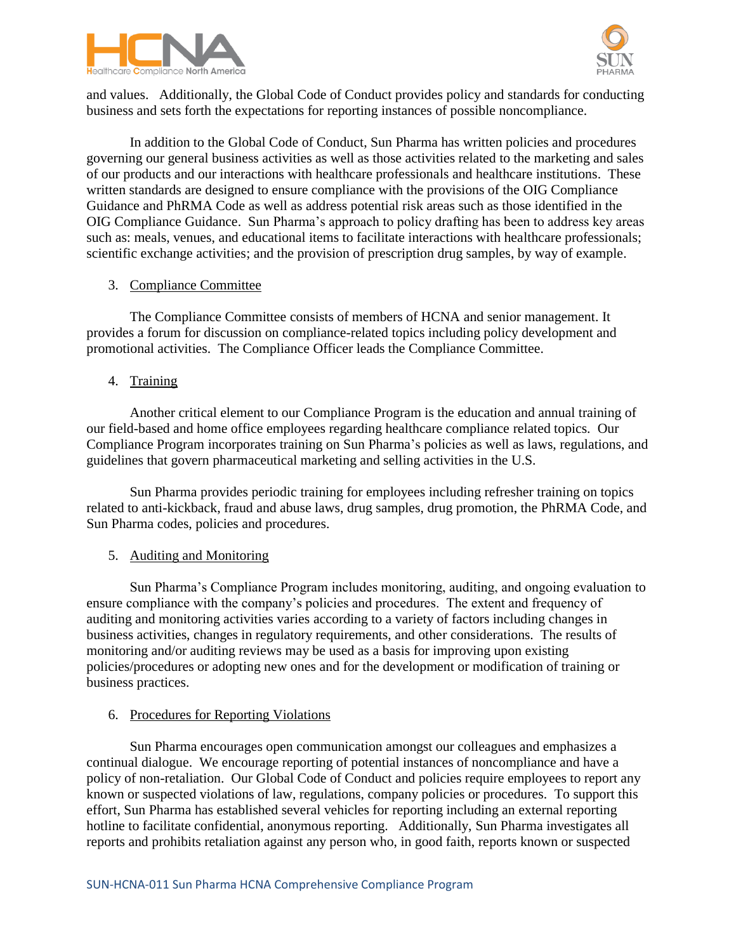



and values. Additionally, the Global Code of Conduct provides policy and standards for conducting business and sets forth the expectations for reporting instances of possible noncompliance.

In addition to the Global Code of Conduct, Sun Pharma has written policies and procedures governing our general business activities as well as those activities related to the marketing and sales of our products and our interactions with healthcare professionals and healthcare institutions. These written standards are designed to ensure compliance with the provisions of the OIG Compliance Guidance and PhRMA Code as well as address potential risk areas such as those identified in the OIG Compliance Guidance. Sun Pharma's approach to policy drafting has been to address key areas such as: meals, venues, and educational items to facilitate interactions with healthcare professionals; scientific exchange activities; and the provision of prescription drug samples, by way of example.

### 3. Compliance Committee

The Compliance Committee consists of members of HCNA and senior management. It provides a forum for discussion on compliance-related topics including policy development and promotional activities. The Compliance Officer leads the Compliance Committee.

### 4. Training

Another critical element to our Compliance Program is the education and annual training of our field-based and home office employees regarding healthcare compliance related topics. Our Compliance Program incorporates training on Sun Pharma's policies as well as laws, regulations, and guidelines that govern pharmaceutical marketing and selling activities in the U.S.

Sun Pharma provides periodic training for employees including refresher training on topics related to anti-kickback, fraud and abuse laws, drug samples, drug promotion, the PhRMA Code, and Sun Pharma codes, policies and procedures.

#### 5. Auditing and Monitoring

Sun Pharma's Compliance Program includes monitoring, auditing, and ongoing evaluation to ensure compliance with the company's policies and procedures. The extent and frequency of auditing and monitoring activities varies according to a variety of factors including changes in business activities, changes in regulatory requirements, and other considerations. The results of monitoring and/or auditing reviews may be used as a basis for improving upon existing policies/procedures or adopting new ones and for the development or modification of training or business practices.

#### 6. Procedures for Reporting Violations

Sun Pharma encourages open communication amongst our colleagues and emphasizes a continual dialogue. We encourage reporting of potential instances of noncompliance and have a policy of non-retaliation. Our Global Code of Conduct and policies require employees to report any known or suspected violations of law, regulations, company policies or procedures. To support this effort, Sun Pharma has established several vehicles for reporting including an external reporting hotline to facilitate confidential, anonymous reporting. Additionally, Sun Pharma investigates all reports and prohibits retaliation against any person who, in good faith, reports known or suspected